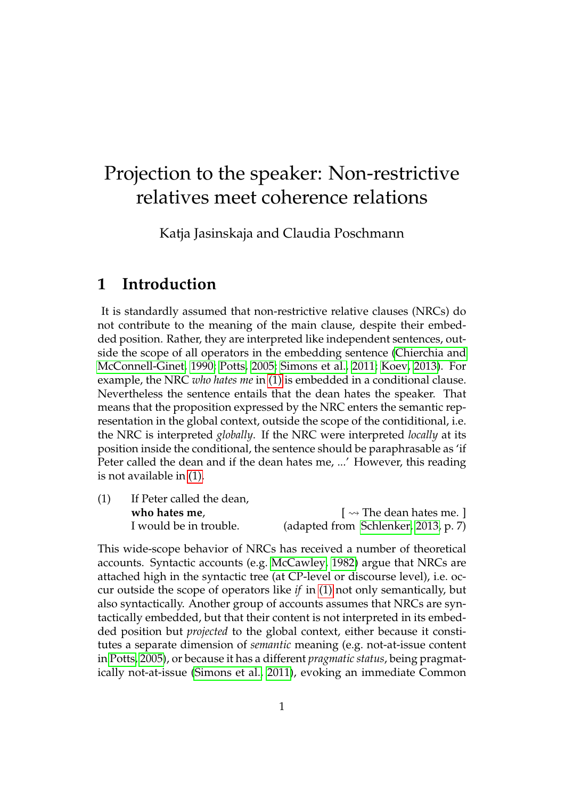# Projection to the speaker: Non-restrictive relatives meet coherence relations

Katja Jasinskaja and Claudia Poschmann

## **1 Introduction**

It is standardly assumed that non-restrictive relative clauses (NRCs) do not contribute to the meaning of the main clause, despite their embedded position. Rather, they are interpreted like independent sentences, outside the scope of all operators in the embedding sentence [\(Chierchia and](#page-20-0) [McConnell-Ginet, 1990;](#page-20-0) [Potts, 2005;](#page-20-1) [Simons et al., 2011;](#page-21-0) [Koev, 2013\)](#page-20-2). For example, the NRC *who hates me* in [\(1\)](#page-0-0) is embedded in a conditional clause. Nevertheless the sentence entails that the dean hates the speaker. That means that the proposition expressed by the NRC enters the semantic representation in the global context, outside the scope of the contiditional, i.e. the NRC is interpreted *globally*. If the NRC were interpreted *locally* at its position inside the conditional, the sentence should be paraphrasable as 'if Peter called the dean and if the dean hates me, ...' However, this reading is not available in [\(1\).](#page-0-0)

<span id="page-0-0"></span>(1) If Peter called the dean, **who hates me,**  $\left[\n\begin{array}{c}\n\sim \text{The clean hates me.}\n\end{array}\n\right]$ I would be in trouble. (adapted from [Schlenker, 2013,](#page-21-1) p. 7)

This wide-scope behavior of NRCs has received a number of theoretical accounts. Syntactic accounts (e.g. [McCawley, 1982\)](#page-20-3) argue that NRCs are attached high in the syntactic tree (at CP-level or discourse level), i.e. occur outside the scope of operators like *if* in [\(1\)](#page-0-0) not only semantically, but also syntactically. Another group of accounts assumes that NRCs are syntactically embedded, but that their content is not interpreted in its embedded position but *projected* to the global context, either because it constitutes a separate dimension of *semantic* meaning (e.g. not-at-issue content in [Potts, 2005\)](#page-20-1), or because it has a different *pragmatic status*, being pragmatically not-at-issue [\(Simons et al., 2011\)](#page-21-0), evoking an immediate Common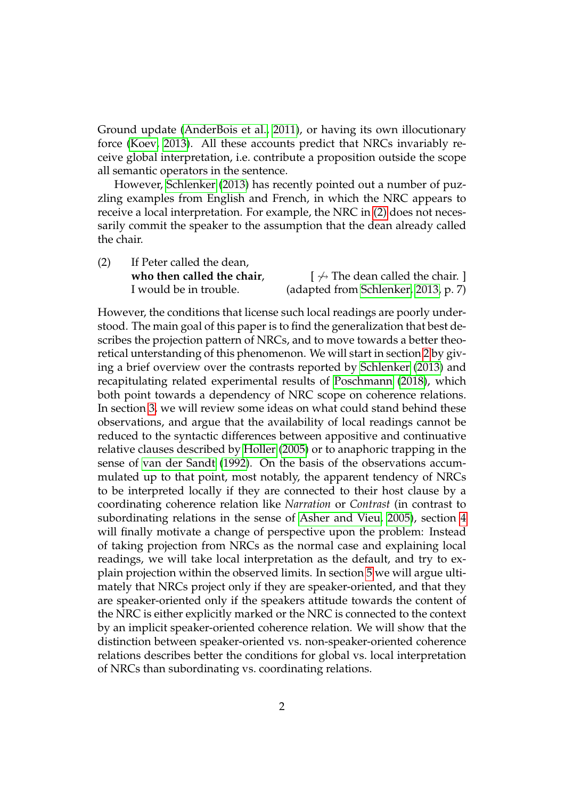Ground update [\(AnderBois et al., 2011\)](#page-20-4), or having its own illocutionary force [\(Koev, 2013\)](#page-20-2). All these accounts predict that NRCs invariably receive global interpretation, i.e. contribute a proposition outside the scope all semantic operators in the sentence.

However, [Schlenker](#page-21-1) [\(2013\)](#page-21-1) has recently pointed out a number of puzzling examples from English and French, in which the NRC appears to receive a local interpretation. For example, the NRC in [\(2\)](#page-1-0) does not necessarily commit the speaker to the assumption that the dean already called the chair.

<span id="page-1-0"></span>(2) If Peter called the dean, **who then called the chair,**  $\left[\sqrt{m} \text{ The clean called the chair. }\right]$ I would be in trouble. (adapted from [Schlenker, 2013,](#page-21-1) p. 7)

However, the conditions that license such local readings are poorly understood. The main goal of this paper is to find the generalization that best describes the projection pattern of NRCs, and to move towards a better theoretical unterstanding of this phenomenon. We will start in section [2](#page-2-0) by giving a brief overview over the contrasts reported by [Schlenker](#page-21-1) [\(2013\)](#page-21-1) and recapitulating related experimental results of [Poschmann](#page-20-5) [\(2018\)](#page-20-5), which both point towards a dependency of NRC scope on coherence relations. In section [3,](#page-6-0) we will review some ideas on what could stand behind these observations, and argue that the availability of local readings cannot be reduced to the syntactic differences between appositive and continuative relative clauses described by [Holler](#page-20-6) [\(2005\)](#page-20-6) or to anaphoric trapping in the sense of [van der Sandt](#page-21-2) [\(1992\)](#page-21-2). On the basis of the observations accummulated up to that point, most notably, the apparent tendency of NRCs to be interpreted locally if they are connected to their host clause by a coordinating coherence relation like *Narration* or *Contrast* (in contrast to subordinating relations in the sense of [Asher and Vieu, 2005\)](#page-20-7), section [4](#page-9-0) will finally motivate a change of perspective upon the problem: Instead of taking projection from NRCs as the normal case and explaining local readings, we will take local interpretation as the default, and try to explain projection within the observed limits. In section [5](#page-12-0) we will argue ultimately that NRCs project only if they are speaker-oriented, and that they are speaker-oriented only if the speakers attitude towards the content of the NRC is either explicitly marked or the NRC is connected to the context by an implicit speaker-oriented coherence relation. We will show that the distinction between speaker-oriented vs. non-speaker-oriented coherence relations describes better the conditions for global vs. local interpretation of NRCs than subordinating vs. coordinating relations.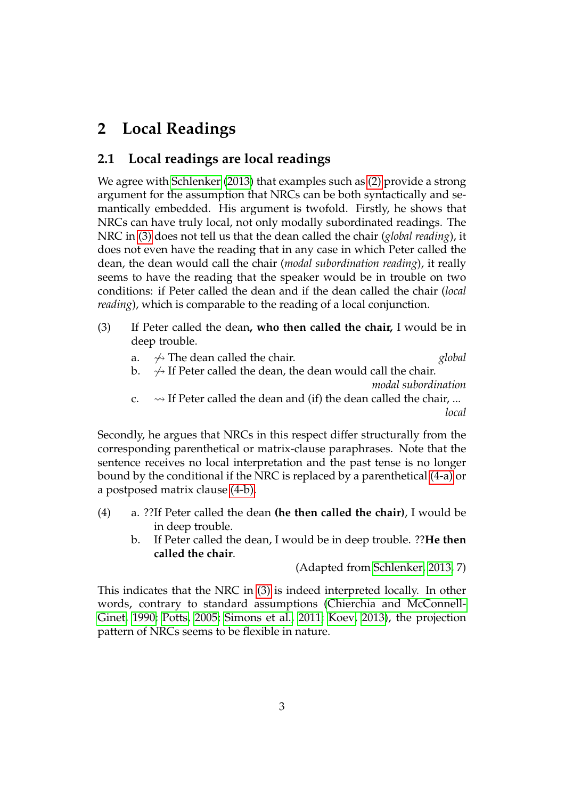## <span id="page-2-0"></span>**2 Local Readings**

### **2.1 Local readings are local readings**

We agree with [Schlenker](#page-21-1) [\(2013\)](#page-21-1) that examples such as [\(2\)](#page-1-0) provide a strong argument for the assumption that NRCs can be both syntactically and semantically embedded. His argument is twofold. Firstly, he shows that NRCs can have truly local, not only modally subordinated readings. The NRC in [\(3\)](#page-2-1) does not tell us that the dean called the chair (*global reading*), it does not even have the reading that in any case in which Peter called the dean, the dean would call the chair (*modal subordination reading*), it really seems to have the reading that the speaker would be in trouble on two conditions: if Peter called the dean and if the dean called the chair (*local reading*), which is comparable to the reading of a local conjunction.

- <span id="page-2-4"></span><span id="page-2-1"></span>(3) If Peter called the dean**, who then called the chair,** I would be in deep trouble.
	- a.  $\rightarrow$  The dean called the chair.  $\alpha$  global
	- b.  $\rightarrow$  If Peter called the dean, the dean would call the chair.

*modal subordination*

c.  $\rightarrow$  If Peter called the dean and (if) the dean called the chair, ... *local*

Secondly, he argues that NRCs in this respect differ structurally from the corresponding parenthetical or matrix-clause paraphrases. Note that the sentence receives no local interpretation and the past tense is no longer bound by the conditional if the NRC is replaced by a parenthetical [\(4-a\)](#page-2-2) or a postposed matrix clause [\(4-b\).](#page-2-3)

- <span id="page-2-3"></span><span id="page-2-2"></span>(4) a. ??If Peter called the dean **(he then called the chair)**, I would be in deep trouble.
	- b. If Peter called the dean, I would be in deep trouble. ??**He then called the chair**.

(Adapted from [Schlenker, 2013,](#page-21-1) 7)

This indicates that the NRC in [\(3\)](#page-2-1) is indeed interpreted locally. In other words, contrary to standard assumptions [\(Chierchia and McConnell-](#page-20-0)[Ginet, 1990;](#page-20-0) [Potts, 2005;](#page-20-1) [Simons et al., 2011;](#page-21-0) [Koev, 2013\)](#page-20-2), the projection pattern of NRCs seems to be flexible in nature.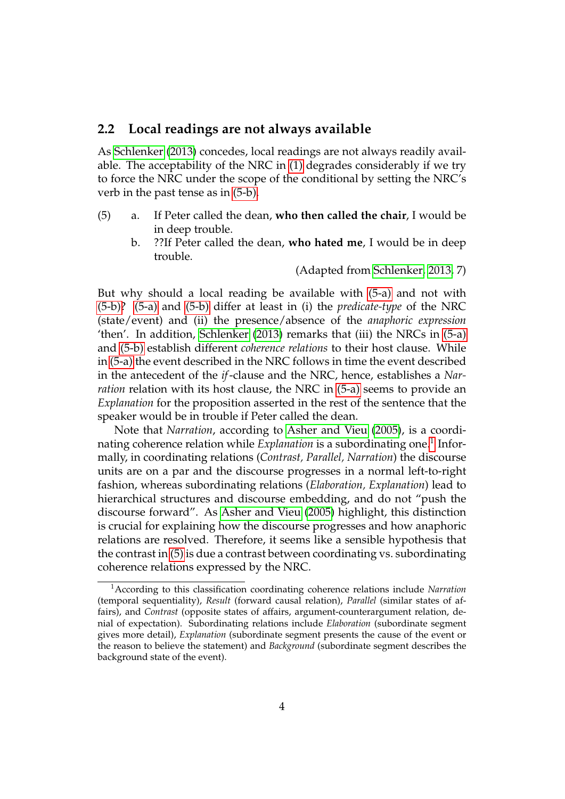#### **2.2 Local readings are not always available**

As [Schlenker](#page-21-1) [\(2013\)](#page-21-1) concedes, local readings are not always readily available. The acceptability of the NRC in [\(1\)](#page-0-0) degrades considerably if we try to force the NRC under the scope of the conditional by setting the NRC's verb in the past tense as in [\(5-b\).](#page-3-0)

- <span id="page-3-3"></span><span id="page-3-1"></span><span id="page-3-0"></span>(5) a. If Peter called the dean, **who then called the chair**, I would be in deep trouble.
	- b. ??If Peter called the dean, **who hated me**, I would be in deep trouble.

(Adapted from [Schlenker, 2013,](#page-21-1) 7)

But why should a local reading be available with [\(5-a\)](#page-3-1) and not with [\(5-b\)?](#page-3-0) [\(5-a\)](#page-3-1) and [\(5-b\)](#page-3-0) differ at least in (i) the *predicate-type* of the NRC (state/event) and (ii) the presence/absence of the *anaphoric expression* 'then'. In addition, [Schlenker](#page-21-1) [\(2013\)](#page-21-1) remarks that (iii) the NRCs in [\(5-a\)](#page-3-1) and [\(5-b\)](#page-3-0) establish different *coherence relations* to their host clause. While in [\(5-a\)](#page-3-1) the event described in the NRC follows in time the event described in the antecedent of the *if*-clause and the NRC, hence, establishes a *Narration* relation with its host clause, the NRC in [\(5-a\)](#page-3-1) seems to provide an *Explanation* for the proposition asserted in the rest of the sentence that the speaker would be in trouble if Peter called the dean.

Note that *Narration*, according to [Asher and Vieu](#page-20-7) [\(2005\)](#page-20-7), is a coordinating coherence relation while *Explanation* is a subordinating one.<sup>[1](#page-3-2)</sup> Informally, in coordinating relations (*Contrast, Parallel, Narration*) the discourse units are on a par and the discourse progresses in a normal left-to-right fashion, whereas subordinating relations (*Elaboration, Explanation*) lead to hierarchical structures and discourse embedding, and do not "push the discourse forward". As [Asher and Vieu](#page-20-7) [\(2005\)](#page-20-7) highlight, this distinction is crucial for explaining how the discourse progresses and how anaphoric relations are resolved. Therefore, it seems like a sensible hypothesis that the contrast in [\(5\)](#page-3-3) is due a contrast between coordinating vs. subordinating coherence relations expressed by the NRC.

<span id="page-3-2"></span><sup>1</sup>According to this classification coordinating coherence relations include *Narration* (temporal sequentiality), *Result* (forward causal relation), *Parallel* (similar states of affairs), and *Contrast* (opposite states of affairs, argument-counterargument relation, denial of expectation). Subordinating relations include *Elaboration* (subordinate segment gives more detail), *Explanation* (subordinate segment presents the cause of the event or the reason to believe the statement) and *Background* (subordinate segment describes the background state of the event).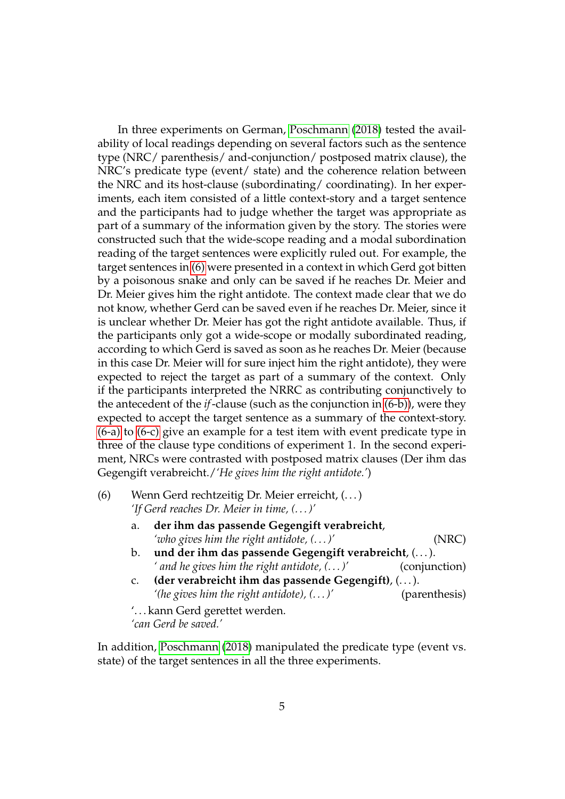In three experiments on German, [Poschmann](#page-20-5) [\(2018\)](#page-20-5) tested the availability of local readings depending on several factors such as the sentence type (NRC/ parenthesis/ and-conjunction/ postposed matrix clause), the NRC's predicate type (event/ state) and the coherence relation between the NRC and its host-clause (subordinating/ coordinating). In her experiments, each item consisted of a little context-story and a target sentence and the participants had to judge whether the target was appropriate as part of a summary of the information given by the story. The stories were constructed such that the wide-scope reading and a modal subordination reading of the target sentences were explicitly ruled out. For example, the target sentences in [\(6\)](#page-4-0) were presented in a context in which Gerd got bitten by a poisonous snake and only can be saved if he reaches Dr. Meier and Dr. Meier gives him the right antidote. The context made clear that we do not know, whether Gerd can be saved even if he reaches Dr. Meier, since it is unclear whether Dr. Meier has got the right antidote available. Thus, if the participants only got a wide-scope or modally subordinated reading, according to which Gerd is saved as soon as he reaches Dr. Meier (because in this case Dr. Meier will for sure inject him the right antidote), they were expected to reject the target as part of a summary of the context. Only if the participants interpreted the NRRC as contributing conjunctively to the antecedent of the *if*-clause (such as the conjunction in [\(6-b\)\)](#page-4-1), were they expected to accept the target sentence as a summary of the context-story. [\(6-a\)](#page-4-2) to [\(6-c\)](#page-4-3) give an example for a test item with event predicate type in three of the clause type conditions of experiment 1. In the second experiment, NRCs were contrasted with postposed matrix clauses (Der ihm das Gegengift verabreicht./*'He gives him the right antidote.'*)

- <span id="page-4-2"></span><span id="page-4-1"></span><span id="page-4-0"></span>(6) Wenn Gerd rechtzeitig Dr. Meier erreicht, (. . . ) *'If Gerd reaches Dr. Meier in time, (. . . )'*
	- a. **der ihm das passende Gegengift verabreicht**, *'who gives him the right antidote, (. . . )'* (NRC)
	- b. **und der ihm das passende Gegengift verabreicht**, (. . . ). *' and he gives him the right antidote, (. . . )'* (conjunction)
	- c. **(der verabreicht ihm das passende Gegengift)**, (. . . ). *'(he gives him the right antidote), (. . . )'* (parenthesis)

<span id="page-4-3"></span>'. . . kann Gerd gerettet werden. *'can Gerd be saved.'*

<span id="page-4-4"></span>In addition, [Poschmann](#page-20-5) [\(2018\)](#page-20-5) manipulated the predicate type (event vs. state) of the target sentences in all the three experiments.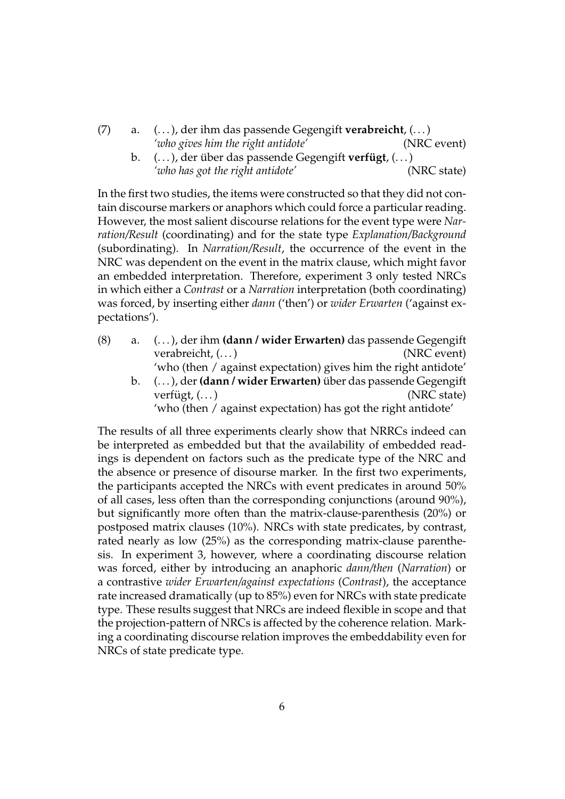- <span id="page-5-0"></span>(7) a. (. . . ), der ihm das passende Gegengift **verabreicht**, (. . . ) *'who gives him the right antidote'* (NRC event)
	- b. (...), der über das passende Gegengift **verfügt**, (...) *'who has got the right antidote'* (NRC state)

In the first two studies, the items were constructed so that they did not contain discourse markers or anaphors which could force a particular reading. However, the most salient discourse relations for the event type were *Narration/Result* (coordinating) and for the state type *Explanation/Background* (subordinating). In *Narration/Result*, the occurrence of the event in the NRC was dependent on the event in the matrix clause, which might favor an embedded interpretation. Therefore, experiment 3 only tested NRCs in which either a *Contrast* or a *Narration* interpretation (both coordinating) was forced, by inserting either *dann* ('then') or *wider Erwarten* ('against expectations').

- (8) a. (. . . ), der ihm **(dann / wider Erwarten)** das passende Gegengift verabreicht, (...) (NRC event) 'who (then / against expectation) gives him the right antidote'
	- b.  $(\ldots)$ , der (dann / wider Erwarten) über das passende Gegengift verfügt,  $(\dots)$  (NRC state) 'who (then / against expectation) has got the right antidote'

The results of all three experiments clearly show that NRRCs indeed can be interpreted as embedded but that the availability of embedded readings is dependent on factors such as the predicate type of the NRC and the absence or presence of disourse marker. In the first two experiments, the participants accepted the NRCs with event predicates in around 50% of all cases, less often than the corresponding conjunctions (around 90%), but significantly more often than the matrix-clause-parenthesis (20%) or postposed matrix clauses (10%). NRCs with state predicates, by contrast, rated nearly as low (25%) as the corresponding matrix-clause parenthesis. In experiment 3, however, where a coordinating discourse relation was forced, either by introducing an anaphoric *dann/then* (*Narration*) or a contrastive *wider Erwarten/against expectations* (*Contrast*), the acceptance rate increased dramatically (up to 85%) even for NRCs with state predicate type. These results suggest that NRCs are indeed flexible in scope and that the projection-pattern of NRCs is affected by the coherence relation. Marking a coordinating discourse relation improves the embeddability even for NRCs of state predicate type.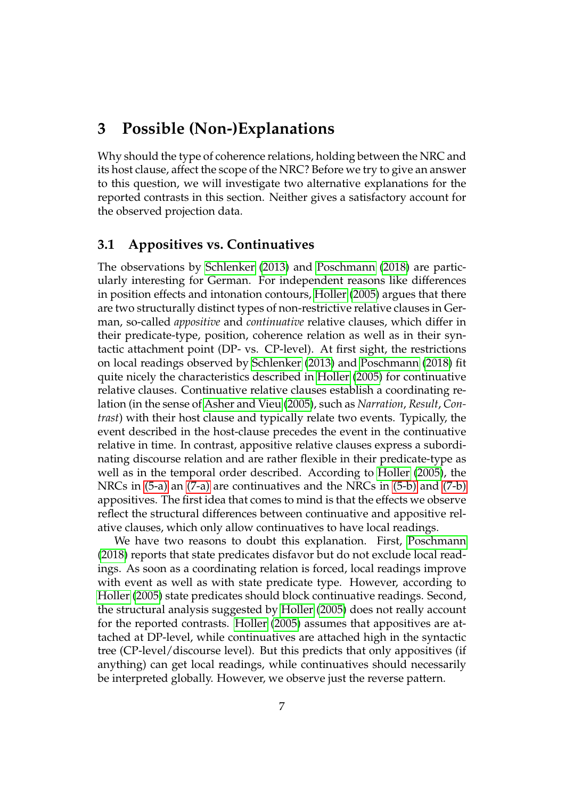## <span id="page-6-0"></span>**3 Possible (Non-)Explanations**

Why should the type of coherence relations, holding between the NRC and its host clause, affect the scope of the NRC? Before we try to give an answer to this question, we will investigate two alternative explanations for the reported contrasts in this section. Neither gives a satisfactory account for the observed projection data.

#### **3.1 Appositives vs. Continuatives**

The observations by [Schlenker](#page-21-1) [\(2013\)](#page-21-1) and [Poschmann](#page-20-5) [\(2018\)](#page-20-5) are particularly interesting for German. For independent reasons like differences in position effects and intonation contours, [Holler](#page-20-6) [\(2005\)](#page-20-6) argues that there are two structurally distinct types of non-restrictive relative clauses in German, so-called *appositive* and *continuative* relative clauses, which differ in their predicate-type, position, coherence relation as well as in their syntactic attachment point (DP- vs. CP-level). At first sight, the restrictions on local readings observed by [Schlenker](#page-21-1) [\(2013\)](#page-21-1) and [Poschmann](#page-20-5) [\(2018\)](#page-20-5) fit quite nicely the characteristics described in [Holler](#page-20-6) [\(2005\)](#page-20-6) for continuative relative clauses. Continuative relative clauses establish a coordinating relation (in the sense of [Asher and Vieu](#page-20-7) [\(2005\)](#page-20-7), such as *Narration*, *Result*, *Contrast*) with their host clause and typically relate two events. Typically, the event described in the host-clause precedes the event in the continuative relative in time. In contrast, appositive relative clauses express a subordinating discourse relation and are rather flexible in their predicate-type as well as in the temporal order described. According to [Holler](#page-20-6) [\(2005\)](#page-20-6), the NRCs in [\(5-a\)](#page-3-1) an [\(7-a\)](#page-4-4) are continuatives and the NRCs in [\(5-b\)](#page-3-0) and [\(7-b\)](#page-5-0) appositives. The first idea that comes to mind is that the effects we observe reflect the structural differences between continuative and appositive relative clauses, which only allow continuatives to have local readings.

We have two reasons to doubt this explanation. First, [Poschmann](#page-20-5) [\(2018\)](#page-20-5) reports that state predicates disfavor but do not exclude local readings. As soon as a coordinating relation is forced, local readings improve with event as well as with state predicate type. However, according to [Holler](#page-20-6) [\(2005\)](#page-20-6) state predicates should block continuative readings. Second, the structural analysis suggested by [Holler](#page-20-6) [\(2005\)](#page-20-6) does not really account for the reported contrasts. [Holler](#page-20-6) [\(2005\)](#page-20-6) assumes that appositives are attached at DP-level, while continuatives are attached high in the syntactic tree (CP-level/discourse level). But this predicts that only appositives (if anything) can get local readings, while continuatives should necessarily be interpreted globally. However, we observe just the reverse pattern.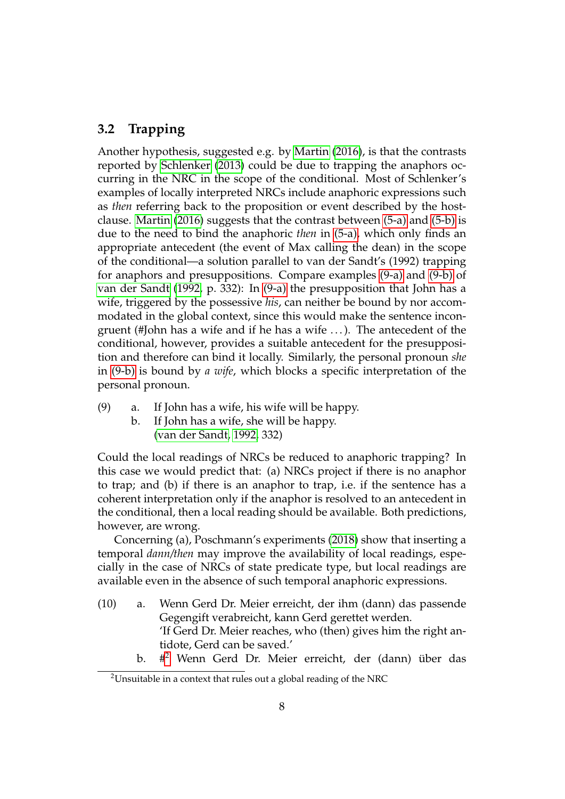#### **3.2 Trapping**

Another hypothesis, suggested e.g. by [Martin](#page-20-8) [\(2016\)](#page-20-8), is that the contrasts reported by [Schlenker](#page-21-1) [\(2013\)](#page-21-1) could be due to trapping the anaphors occurring in the NRC in the scope of the conditional. Most of Schlenker's examples of locally interpreted NRCs include anaphoric expressions such as *then* referring back to the proposition or event described by the hostclause. [Martin](#page-20-8) [\(2016\)](#page-20-8) suggests that the contrast between [\(5-a\)](#page-3-1) and [\(5-b\)](#page-3-0) is due to the need to bind the anaphoric *then* in [\(5-a\),](#page-3-1) which only finds an appropriate antecedent (the event of Max calling the dean) in the scope of the conditional—a solution parallel to van der Sandt's (1992) trapping for anaphors and presuppositions. Compare examples [\(9-a\)](#page-7-0) and [\(9-b\)](#page-7-1) of [van der Sandt](#page-21-2) [\(1992,](#page-21-2) p. 332): In [\(9-a\)](#page-7-0) the presupposition that John has a wife, triggered by the possessive *his*, can neither be bound by nor accommodated in the global context, since this would make the sentence incongruent (#John has a wife and if he has a wife ...). The antecedent of the conditional, however, provides a suitable antecedent for the presupposition and therefore can bind it locally. Similarly, the personal pronoun *she* in [\(9-b\)](#page-7-1) is bound by *a wife*, which blocks a specific interpretation of the personal pronoun.

- <span id="page-7-1"></span><span id="page-7-0"></span>(9) a. If John has a wife, his wife will be happy.
	- b. If John has a wife, she will be happy. [\(van der Sandt, 1992,](#page-21-2) 332)

Could the local readings of NRCs be reduced to anaphoric trapping? In this case we would predict that: (a) NRCs project if there is no anaphor to trap; and (b) if there is an anaphor to trap, i.e. if the sentence has a coherent interpretation only if the anaphor is resolved to an antecedent in the conditional, then a local reading should be available. Both predictions, however, are wrong.

Concerning (a), Poschmann's experiments [\(2018\)](#page-20-5) show that inserting a temporal *dann/then* may improve the availability of local readings, especially in the case of NRCs of state predicate type, but local readings are available even in the absence of such temporal anaphoric expressions.

- <span id="page-7-5"></span><span id="page-7-3"></span>(10) a. Wenn Gerd Dr. Meier erreicht, der ihm (dann) das passende Gegengift verabreicht, kann Gerd gerettet werden. 'If Gerd Dr. Meier reaches, who (then) gives him the right antidote, Gerd can be saved.'
	- $\mathbf b$ . #<sup>[2](#page-7-2)</sup> Wenn Gerd Dr. Meier erreicht, der (dann) über das

<span id="page-7-4"></span><span id="page-7-2"></span><sup>&</sup>lt;sup>2</sup>Unsuitable in a context that rules out a global reading of the NRC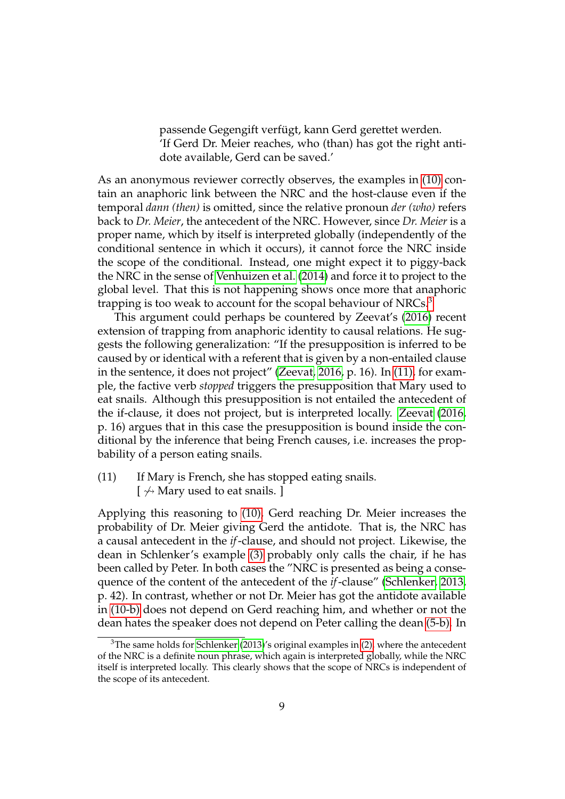passende Gegengift verfügt, kann Gerd gerettet werden. 'If Gerd Dr. Meier reaches, who (than) has got the right antidote available, Gerd can be saved.'

As an anonymous reviewer correctly observes, the examples in [\(10\)](#page-7-3) contain an anaphoric link between the NRC and the host-clause even if the temporal *dann (then)* is omitted, since the relative pronoun *der (who)* refers back to *Dr. Meier*, the antecedent of the NRC. However, since *Dr. Meier* is a proper name, which by itself is interpreted globally (independently of the conditional sentence in which it occurs), it cannot force the NRC inside the scope of the conditional. Instead, one might expect it to piggy-back the NRC in the sense of [Venhuizen et al.](#page-21-3) [\(2014\)](#page-21-3) and force it to project to the global level. That this is not happening shows once more that anaphoric trapping is too weak to account for the scopal behaviour of NRCs.<sup>[3](#page-8-0)</sup>

This argument could perhaps be countered by Zeevat's [\(2016\)](#page-21-4) recent extension of trapping from anaphoric identity to causal relations. He suggests the following generalization: "If the presupposition is inferred to be caused by or identical with a referent that is given by a non-entailed clause in the sentence, it does not project" [\(Zeevat, 2016,](#page-21-4) p. 16). In [\(11\),](#page-8-1) for example, the factive verb *stopped* triggers the presupposition that Mary used to eat snails. Although this presupposition is not entailed the antecedent of the if-clause, it does not project, but is interpreted locally. [Zeevat](#page-21-4) [\(2016,](#page-21-4) p. 16) argues that in this case the presupposition is bound inside the conditional by the inference that being French causes, i.e. increases the propbability of a person eating snails.

<span id="page-8-1"></span>(11) If Mary is French, she has stopped eating snails.  $\phi$  Mary used to eat snails. ]

Applying this reasoning to [\(10\),](#page-7-3) Gerd reaching Dr. Meier increases the probability of Dr. Meier giving Gerd the antidote. That is, the NRC has a causal antecedent in the *if*-clause, and should not project. Likewise, the dean in Schlenker's example [\(3\)](#page-2-1) probably only calls the chair, if he has been called by Peter. In both cases the "NRC is presented as being a consequence of the content of the antecedent of the *if*-clause" [\(Schlenker, 2013,](#page-21-1) p. 42). In contrast, whether or not Dr. Meier has got the antidote available in [\(10-b\)](#page-7-4) does not depend on Gerd reaching him, and whether or not the dean hates the speaker does not depend on Peter calling the dean [\(5-b\).](#page-3-0) In

<span id="page-8-0"></span> $3$ The same holds for [Schlenker](#page-21-1) [\(2013\)](#page-21-1)'s original examples in [\(2\),](#page-1-0) where the antecedent of the NRC is a definite noun phrase, which again is interpreted globally, while the NRC itself is interpreted locally. This clearly shows that the scope of NRCs is independent of the scope of its antecedent.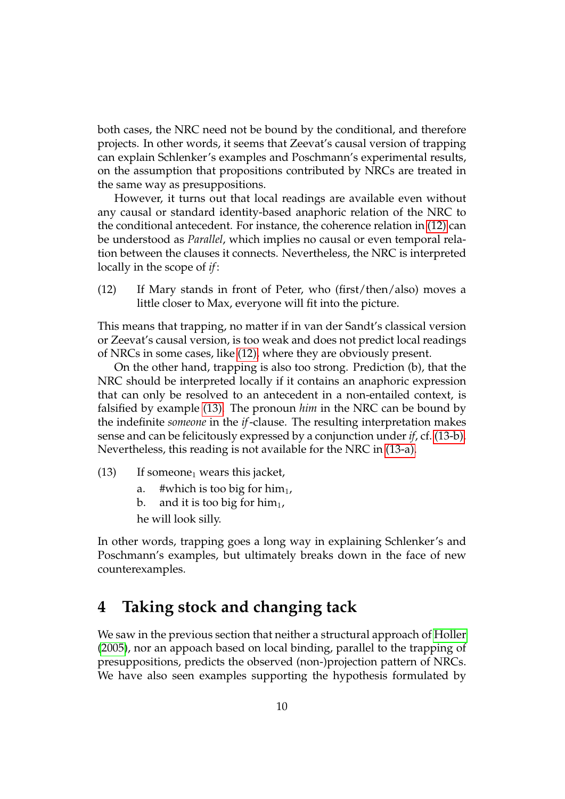both cases, the NRC need not be bound by the conditional, and therefore projects. In other words, it seems that Zeevat's causal version of trapping can explain Schlenker's examples and Poschmann's experimental results, on the assumption that propositions contributed by NRCs are treated in the same way as presuppositions.

However, it turns out that local readings are available even without any causal or standard identity-based anaphoric relation of the NRC to the conditional antecedent. For instance, the coherence relation in [\(12\)](#page-9-1) can be understood as *Parallel*, which implies no causal or even temporal relation between the clauses it connects. Nevertheless, the NRC is interpreted locally in the scope of *if*:

<span id="page-9-1"></span>(12) If Mary stands in front of Peter, who (first/then/also) moves a little closer to Max, everyone will fit into the picture.

This means that trapping, no matter if in van der Sandt's classical version or Zeevat's causal version, is too weak and does not predict local readings of NRCs in some cases, like [\(12\),](#page-9-1) where they are obviously present.

On the other hand, trapping is also too strong. Prediction (b), that the NRC should be interpreted locally if it contains an anaphoric expression that can only be resolved to an antecedent in a non-entailed context, is falsified by example [\(13\).](#page-9-2) The pronoun *him* in the NRC can be bound by the indefinite *someone* in the *if*-clause. The resulting interpretation makes sense and can be felicitously expressed by a conjunction under *if*, cf. [\(13-b\).](#page-9-3) Nevertheless, this reading is not available for the NRC in [\(13-a\).](#page-9-4)

- <span id="page-9-4"></span><span id="page-9-3"></span><span id="page-9-2"></span> $(13)$  If someone<sub>1</sub> wears this jacket,
	- a. #which is too big for him<sub>1</sub>,
	- b. and it is too big for him<sub>1</sub>,

he will look silly.

In other words, trapping goes a long way in explaining Schlenker's and Poschmann's examples, but ultimately breaks down in the face of new counterexamples.

## <span id="page-9-0"></span>**4 Taking stock and changing tack**

We saw in the previous section that neither a structural approach of [Holler](#page-20-6) [\(2005\)](#page-20-6), nor an appoach based on local binding, parallel to the trapping of presuppositions, predicts the observed (non-)projection pattern of NRCs. We have also seen examples supporting the hypothesis formulated by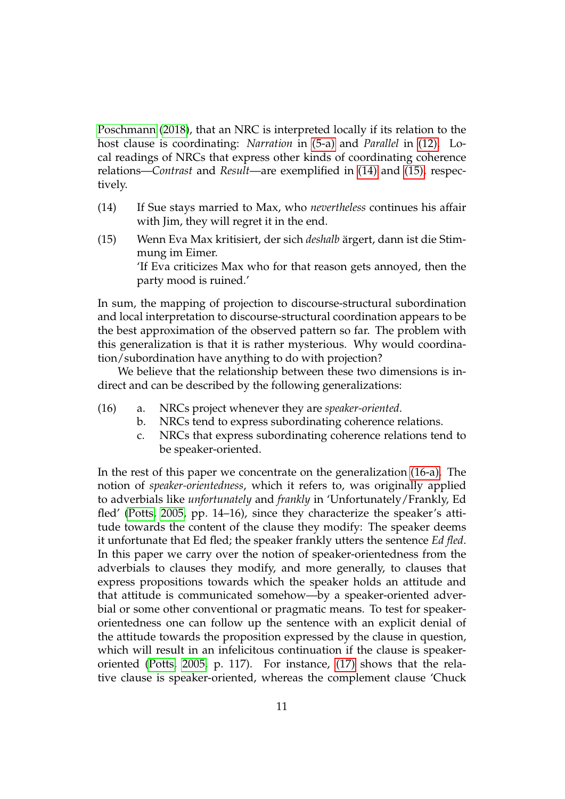[Poschmann](#page-20-5) [\(2018\)](#page-20-5), that an NRC is interpreted locally if its relation to the host clause is coordinating: *Narration* in [\(5-a\)](#page-3-1) and *Parallel* in [\(12\).](#page-9-1) Local readings of NRCs that express other kinds of coordinating coherence relations—*Contrast* and *Result*—are exemplified in [\(14\)](#page-10-0) and [\(15\),](#page-10-1) respectively.

- <span id="page-10-0"></span>(14) If Sue stays married to Max, who *nevertheless* continues his affair with Jim, they will regret it in the end.
- <span id="page-10-1"></span>(15) Wenn Eva Max kritisiert, der sich *deshalb* ärgert, dann ist die Stimmung im Eimer. 'If Eva criticizes Max who for that reason gets annoyed, then the party mood is ruined.'

In sum, the mapping of projection to discourse-structural subordination and local interpretation to discourse-structural coordination appears to be the best approximation of the observed pattern so far. The problem with this generalization is that it is rather mysterious. Why would coordination/subordination have anything to do with projection?

We believe that the relationship between these two dimensions is indirect and can be described by the following generalizations:

- <span id="page-10-4"></span><span id="page-10-3"></span><span id="page-10-2"></span>(16) a. NRCs project whenever they are *speaker-oriented*.
	- b. NRCs tend to express subordinating coherence relations.
	- c. NRCs that express subordinating coherence relations tend to be speaker-oriented.

In the rest of this paper we concentrate on the generalization [\(16-a\).](#page-10-2) The notion of *speaker-orientedness*, which it refers to, was originally applied to adverbials like *unfortunately* and *frankly* in 'Unfortunately/Frankly, Ed fled' [\(Potts, 2005,](#page-20-1) pp. 14–16), since they characterize the speaker's attitude towards the content of the clause they modify: The speaker deems it unfortunate that Ed fled; the speaker frankly utters the sentence *Ed fled*. In this paper we carry over the notion of speaker-orientedness from the adverbials to clauses they modify, and more generally, to clauses that express propositions towards which the speaker holds an attitude and that attitude is communicated somehow—by a speaker-oriented adverbial or some other conventional or pragmatic means. To test for speakerorientedness one can follow up the sentence with an explicit denial of the attitude towards the proposition expressed by the clause in question, which will result in an infelicitous continuation if the clause is speakeroriented [\(Potts, 2005,](#page-20-1) p. 117). For instance, [\(17\)](#page-11-0) shows that the relative clause is speaker-oriented, whereas the complement clause 'Chuck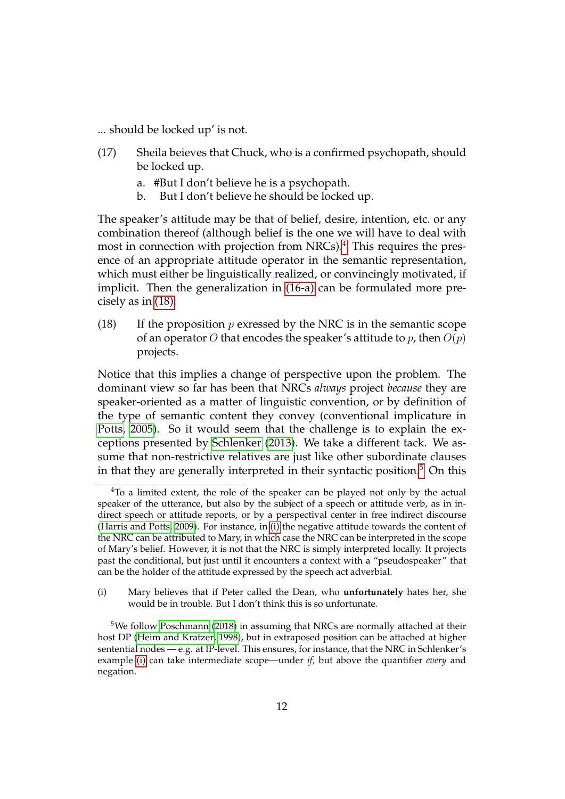<span id="page-11-0"></span>... should be locked up' is not.

- (17) Sheila beieves that Chuck, who is a confirmed psychopath, should be locked up.
	- a. #But I don't believe he is a psychopath.
	- b. But I don't believe he should be locked up.

The speaker's attitude may be that of belief, desire, intention, etc. or any combination thereof (although belief is the one we will have to deal with most in connection with projection from NRCs).<sup>[4](#page-11-1)</sup> This requires the presence of an appropriate attitude operator in the semantic representation, which must either be linguistically realized, or convincingly motivated, if implicit. Then the generalization in [\(16-a\)](#page-10-2) can be formulated more precisely as in [\(18\):](#page-11-2)

<span id="page-11-2"></span>(18) If the proposition  $p$  exressed by the NRC is in the semantic scope of an operator O that encodes the speaker's attitude to p, then  $O(p)$ projects.

Notice that this implies a change of perspective upon the problem. The dominant view so far has been that NRCs *always* project *because* they are speaker-oriented as a matter of linguistic convention, or by definition of the type of semantic content they convey (conventional implicature in [Potts, 2005\)](#page-20-1). So it would seem that the challenge is to explain the exceptions presented by [Schlenker](#page-21-1) [\(2013\)](#page-21-1). We take a different tack. We assume that non-restrictive relatives are just like other subordinate clauses in that they are generally interpreted in their syntactic position.<sup>[5](#page-11-3)</sup> On this

<span id="page-11-4"></span>(i) Mary believes that if Peter called the Dean, who **unfortunately** hates her, she would be in trouble. But I don't think this is so unfortunate.

<span id="page-11-1"></span><sup>&</sup>lt;sup>4</sup>To a limited extent, the role of the speaker can be played not only by the actual speaker of the utterance, but also by the subject of a speech or attitude verb, as in indirect speech or attitude reports, or by a perspectival center in free indirect discourse [\(Harris and Potts, 2009\)](#page-20-9). For instance, in [\(i\)](#page-11-4) the negative attitude towards the content of the NRC can be attributed to Mary, in which case the NRC can be interpreted in the scope of Mary's belief. However, it is not that the NRC is simply interpreted locally. It projects past the conditional, but just until it encounters a context with a "pseudospeaker" that can be the holder of the attitude expressed by the speech act adverbial.

<span id="page-11-5"></span><span id="page-11-3"></span> $5$ We follow [Poschmann](#page-20-5) [\(2018\)](#page-20-5) in assuming that NRCs are normally attached at their host DP [\(Heim and Kratzer, 1998\)](#page-20-10), but in extraposed position can be attached at higher sentential nodes — e.g. at IP-level. This ensures, for instance, that the NRC in Schlenker's example [\(i\)](#page-11-5) can take intermediate scope—under *if*, but above the quantifier *every* and negation.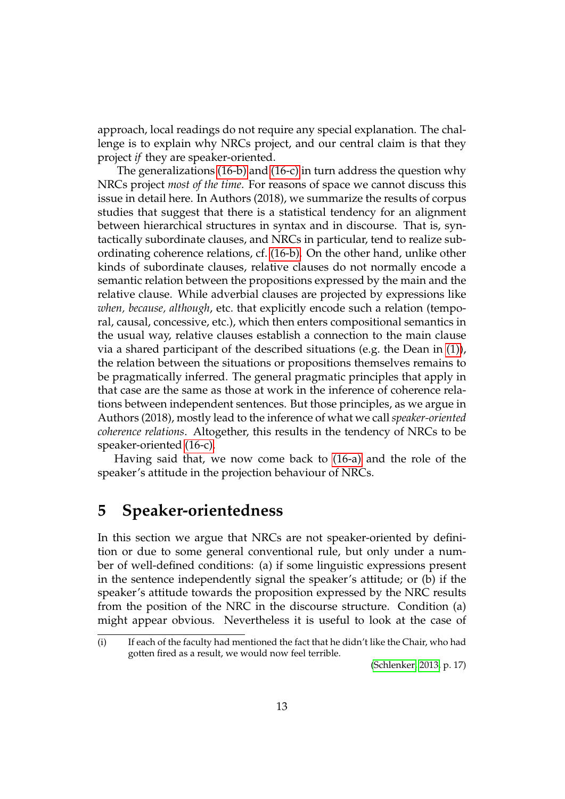approach, local readings do not require any special explanation. The challenge is to explain why NRCs project, and our central claim is that they project *if* they are speaker-oriented.

The generalizations [\(16-b\)](#page-10-3) and [\(16-c\)](#page-10-4) in turn address the question why NRCs project *most of the time*. For reasons of space we cannot discuss this issue in detail here. In Authors (2018), we summarize the results of corpus studies that suggest that there is a statistical tendency for an alignment between hierarchical structures in syntax and in discourse. That is, syntactically subordinate clauses, and NRCs in particular, tend to realize subordinating coherence relations, cf. [\(16-b\).](#page-10-3) On the other hand, unlike other kinds of subordinate clauses, relative clauses do not normally encode a semantic relation between the propositions expressed by the main and the relative clause. While adverbial clauses are projected by expressions like *when, because, although*, etc. that explicitly encode such a relation (temporal, causal, concessive, etc.), which then enters compositional semantics in the usual way, relative clauses establish a connection to the main clause via a shared participant of the described situations (e.g. the Dean in [\(1\)\)](#page-0-0), the relation between the situations or propositions themselves remains to be pragmatically inferred. The general pragmatic principles that apply in that case are the same as those at work in the inference of coherence relations between independent sentences. But those principles, as we argue in Authors (2018), mostly lead to the inference of what we call *speaker-oriented coherence relations*. Altogether, this results in the tendency of NRCs to be speaker-oriented [\(16-c\).](#page-10-4)

Having said that, we now come back to [\(16-a\)](#page-10-2) and the role of the speaker's attitude in the projection behaviour of NRCs.

## <span id="page-12-0"></span>**5 Speaker-orientedness**

In this section we argue that NRCs are not speaker-oriented by definition or due to some general conventional rule, but only under a number of well-defined conditions: (a) if some linguistic expressions present in the sentence independently signal the speaker's attitude; or (b) if the speaker's attitude towards the proposition expressed by the NRC results from the position of the NRC in the discourse structure. Condition (a) might appear obvious. Nevertheless it is useful to look at the case of

[\(Schlenker, 2013,](#page-21-1) p. 17)

<sup>(</sup>i) If each of the faculty had mentioned the fact that he didn't like the Chair, who had gotten fired as a result, we would now feel terrible.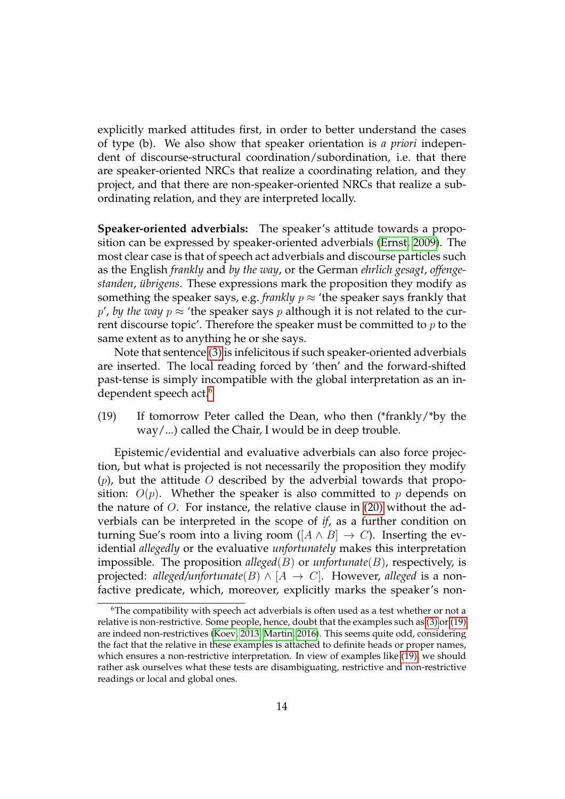explicitly marked attitudes first, in order to better understand the cases of type (b). We also show that speaker orientation is *a priori* independent of discourse-structural coordination/subordination, i.e. that there are speaker-oriented NRCs that realize a coordinating relation, and they project, and that there are non-speaker-oriented NRCs that realize a subordinating relation, and they are interpreted locally.

**Speaker-oriented adverbials:** The speaker's attitude towards a proposition can be expressed by speaker-oriented adverbials [\(Ernst, 2009\)](#page-20-11). The most clear case is that of speech act adverbials and discourse particles such as the English *frankly* and *by the way*, or the German *ehrlich gesagt*, *offengestanden, übrigens*. These expressions mark the proposition they modify as something the speaker says, e.g. *frankly*  $p \approx$  'the speaker says frankly that p', by the way  $p \approx$  'the speaker says p although it is not related to the current discourse topic'. Therefore the speaker must be committed to  $p$  to the same extent as to anything he or she says.

Note that sentence [\(3\)](#page-2-1) is infelicitous if such speaker-oriented adverbials are inserted. The local reading forced by 'then' and the forward-shifted past-tense is simply incompatible with the global interpretation as an in-dependent speech act.<sup>[6](#page-13-0)</sup>

<span id="page-13-1"></span>(19) If tomorrow Peter called the Dean, who then (\*frankly/\*by the way/...) called the Chair, I would be in deep trouble.

Epistemic/evidential and evaluative adverbials can also force projection, but what is projected is not necessarily the proposition they modify  $(p)$ , but the attitude O described by the adverbial towards that proposition:  $O(p)$ . Whether the speaker is also committed to p depends on the nature of  $O$ . For instance, the relative clause in  $(20)$  without the adverbials can be interpreted in the scope of *if*, as a further condition on turning Sue's room into a living room ([ $A \wedge B$ ]  $\rightarrow C$ ). Inserting the evidential *allegedly* or the evaluative *unfortunately* makes this interpretation impossible. The proposition *alleged*(B) or *unfortunate*(B), respectively, is projected: *alleged/unfortunate*(*B*)  $\land$  [*A*  $\rightarrow$  *C*]. However, alleged is a nonfactive predicate, which, moreover, explicitly marks the speaker's non-

<span id="page-13-0"></span><sup>6</sup>The compatibility with speech act adverbials is often used as a test whether or not a relative is non-restrictive. Some people, hence, doubt that the examples such as [\(3\)](#page-2-1) or [\(19\)](#page-13-1) are indeed non-restrictives [\(Koev, 2013;](#page-20-2) [Martin, 2016\)](#page-20-8). This seems quite odd, considering the fact that the relative in these examples is attached to definite heads or proper names, which ensures a non-restrictive interpretation. In view of examples like [\(19\),](#page-13-1) we should rather ask ourselves what these tests are disambiguating, restrictive and non-restrictive readings or local and global ones.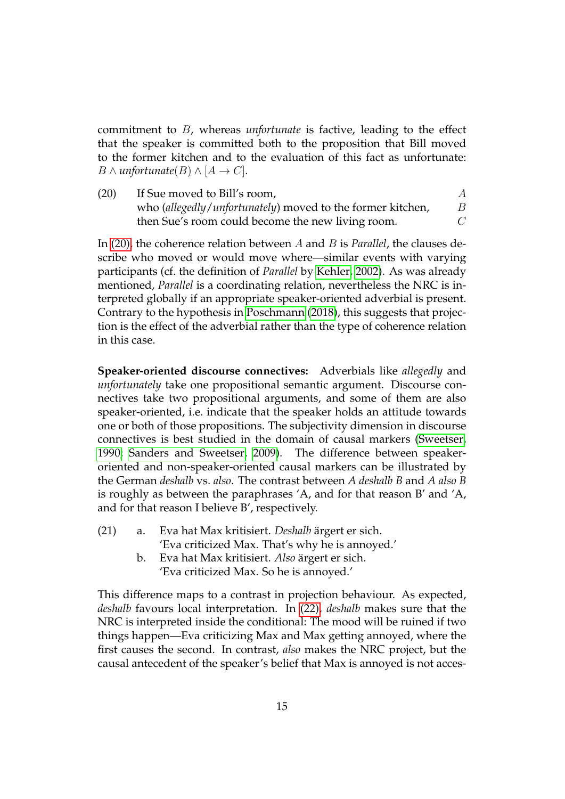commitment to B, whereas *unfortunate* is factive, leading to the effect that the speaker is committed both to the proposition that Bill moved to the former kitchen and to the evaluation of this fact as unfortunate: *B* ∧ *unfortunate*(*B*)  $\land$  [*A*  $\rightarrow$  *C*].

<span id="page-14-0"></span>(20) If Sue moved to Bill's room,  $A$ who (*allegedly*/*unfortunately*) moved to the former kitchen, B then Sue's room could become the new living room. C

In [\(20\),](#page-14-0) the coherence relation between A and B is *Parallel*, the clauses describe who moved or would move where—similar events with varying participants (cf. the definition of *Parallel* by [Kehler, 2002\)](#page-20-12). As was already mentioned, *Parallel* is a coordinating relation, nevertheless the NRC is interpreted globally if an appropriate speaker-oriented adverbial is present. Contrary to the hypothesis in [Poschmann](#page-20-5) [\(2018\)](#page-20-5), this suggests that projection is the effect of the adverbial rather than the type of coherence relation in this case.

**Speaker-oriented discourse connectives:** Adverbials like *allegedly* and *unfortunately* take one propositional semantic argument. Discourse connectives take two propositional arguments, and some of them are also speaker-oriented, i.e. indicate that the speaker holds an attitude towards one or both of those propositions. The subjectivity dimension in discourse connectives is best studied in the domain of causal markers [\(Sweetser,](#page-21-5) [1990;](#page-21-5) [Sanders and Sweetser, 2009\)](#page-20-13). The difference between speakeroriented and non-speaker-oriented causal markers can be illustrated by the German *deshalb* vs. *also*. The contrast between *A deshalb B* and *A also B* is roughly as between the paraphrases 'A, and for that reason B' and 'A, and for that reason I believe B', respectively.

- <span id="page-14-2"></span><span id="page-14-1"></span>(21) a. Eva hat Max kritisiert. *Deshalb* ärgert er sich. 'Eva criticized Max. That's why he is annoyed.'
	- b. Eva hat Max kritisiert. *Also* ärgert er sich. 'Eva criticized Max. So he is annoyed.'

This difference maps to a contrast in projection behaviour. As expected, *deshalb* favours local interpretation. In [\(22\),](#page-15-0) *deshalb* makes sure that the NRC is interpreted inside the conditional: The mood will be ruined if two things happen—Eva criticizing Max and Max getting annoyed, where the first causes the second. In contrast, *also* makes the NRC project, but the causal antecedent of the speaker's belief that Max is annoyed is not acces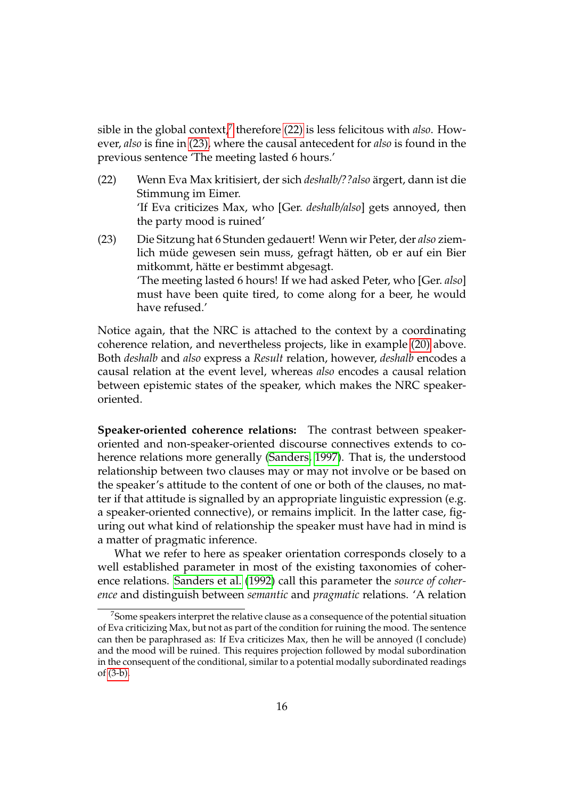sible in the global context,<sup>[7](#page-15-1)</sup> therefore [\(22\)](#page-15-0) is less felicitous with *also*. However, *also* is fine in [\(23\),](#page-15-2) where the causal antecedent for *also* is found in the previous sentence 'The meeting lasted 6 hours.'

- <span id="page-15-0"></span>(22) Wenn Eva Max kritisiert, der sich *deshalb/??also* argert, dann ist die ¨ Stimmung im Eimer. 'If Eva criticizes Max, who [Ger. *deshalb/also*] gets annoyed, then the party mood is ruined'
- <span id="page-15-2"></span>(23) Die Sitzung hat 6 Stunden gedauert! Wenn wir Peter, der *also* ziemlich müde gewesen sein muss, gefragt hätten, ob er auf ein Bier mitkommt, hätte er bestimmt abgesagt. 'The meeting lasted 6 hours! If we had asked Peter, who [Ger. *also*] must have been quite tired, to come along for a beer, he would have refused.'

Notice again, that the NRC is attached to the context by a coordinating coherence relation, and nevertheless projects, like in example [\(20\)](#page-14-0) above. Both *deshalb* and *also* express a *Result* relation, however, *deshalb* encodes a causal relation at the event level, whereas *also* encodes a causal relation between epistemic states of the speaker, which makes the NRC speakeroriented.

**Speaker-oriented coherence relations:** The contrast between speakeroriented and non-speaker-oriented discourse connectives extends to coherence relations more generally [\(Sanders, 1997\)](#page-20-14). That is, the understood relationship between two clauses may or may not involve or be based on the speaker's attitude to the content of one or both of the clauses, no matter if that attitude is signalled by an appropriate linguistic expression (e.g. a speaker-oriented connective), or remains implicit. In the latter case, figuring out what kind of relationship the speaker must have had in mind is a matter of pragmatic inference.

What we refer to here as speaker orientation corresponds closely to a well established parameter in most of the existing taxonomies of coherence relations. [Sanders et al.](#page-20-15) [\(1992\)](#page-20-15) call this parameter the *source of coherence* and distinguish between *semantic* and *pragmatic* relations. 'A relation

<span id="page-15-1"></span><sup>&</sup>lt;sup>7</sup>Some speakers interpret the relative clause as a consequence of the potential situation of Eva criticizing Max, but not as part of the condition for ruining the mood. The sentence can then be paraphrased as: If Eva criticizes Max, then he will be annoyed (I conclude) and the mood will be ruined. This requires projection followed by modal subordination in the consequent of the conditional, similar to a potential modally subordinated readings of [\(3-b\).](#page-2-4)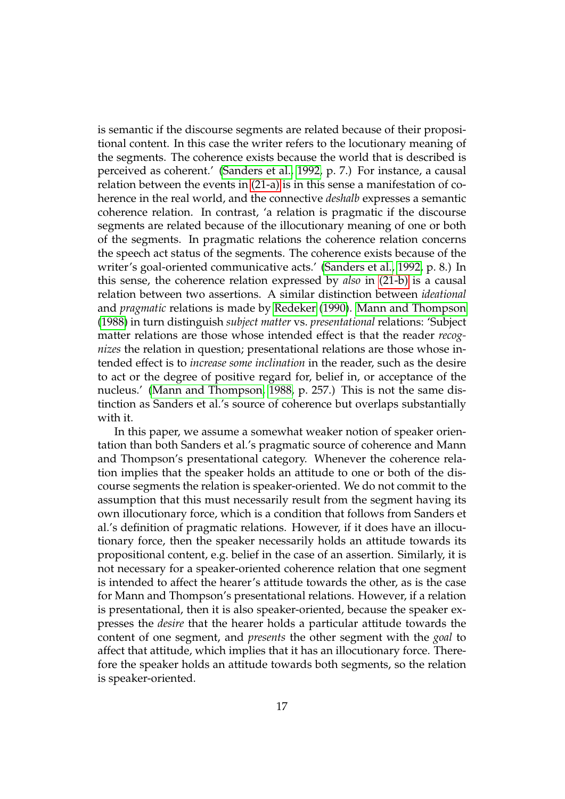is semantic if the discourse segments are related because of their propositional content. In this case the writer refers to the locutionary meaning of the segments. The coherence exists because the world that is described is perceived as coherent.' [\(Sanders et al., 1992,](#page-20-15) p. 7.) For instance, a causal relation between the events in [\(21-a\)](#page-14-1) is in this sense a manifestation of coherence in the real world, and the connective *deshalb* expresses a semantic coherence relation. In contrast, 'a relation is pragmatic if the discourse segments are related because of the illocutionary meaning of one or both of the segments. In pragmatic relations the coherence relation concerns the speech act status of the segments. The coherence exists because of the writer's goal-oriented communicative acts.' [\(Sanders et al., 1992,](#page-20-15) p. 8.) In this sense, the coherence relation expressed by *also* in [\(21-b\)](#page-14-2) is a causal relation between two assertions. A similar distinction between *ideational* and *pragmatic* relations is made by [Redeker](#page-20-16) [\(1990\)](#page-20-16). [Mann and Thompson](#page-20-17) [\(1988\)](#page-20-17) in turn distinguish *subject matter* vs. *presentational* relations: 'Subject matter relations are those whose intended effect is that the reader *recognizes* the relation in question; presentational relations are those whose intended effect is to *increase some inclination* in the reader, such as the desire to act or the degree of positive regard for, belief in, or acceptance of the nucleus.' [\(Mann and Thompson, 1988,](#page-20-17) p. 257.) This is not the same distinction as Sanders et al.'s source of coherence but overlaps substantially with it.

In this paper, we assume a somewhat weaker notion of speaker orientation than both Sanders et al.'s pragmatic source of coherence and Mann and Thompson's presentational category. Whenever the coherence relation implies that the speaker holds an attitude to one or both of the discourse segments the relation is speaker-oriented. We do not commit to the assumption that this must necessarily result from the segment having its own illocutionary force, which is a condition that follows from Sanders et al.'s definition of pragmatic relations. However, if it does have an illocutionary force, then the speaker necessarily holds an attitude towards its propositional content, e.g. belief in the case of an assertion. Similarly, it is not necessary for a speaker-oriented coherence relation that one segment is intended to affect the hearer's attitude towards the other, as is the case for Mann and Thompson's presentational relations. However, if a relation is presentational, then it is also speaker-oriented, because the speaker expresses the *desire* that the hearer holds a particular attitude towards the content of one segment, and *presents* the other segment with the *goal* to affect that attitude, which implies that it has an illocutionary force. Therefore the speaker holds an attitude towards both segments, so the relation is speaker-oriented.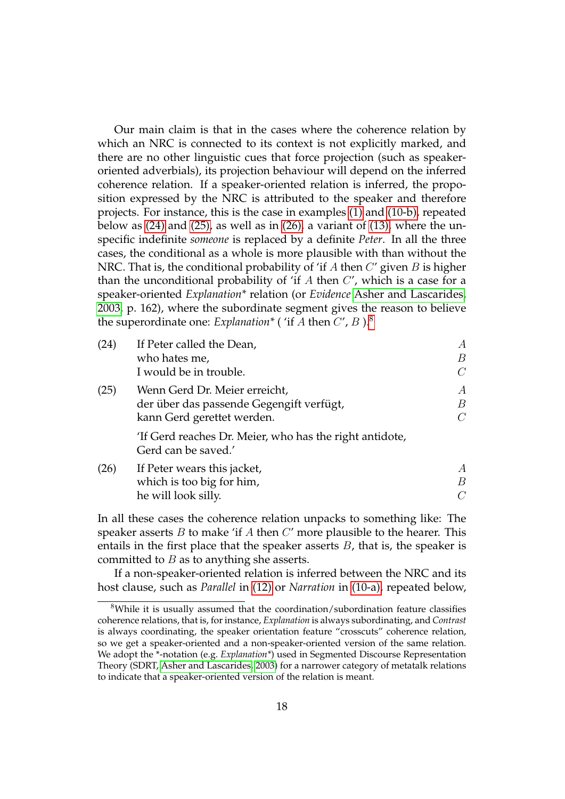Our main claim is that in the cases where the coherence relation by which an NRC is connected to its context is not explicitly marked, and there are no other linguistic cues that force projection (such as speakeroriented adverbials), its projection behaviour will depend on the inferred coherence relation. If a speaker-oriented relation is inferred, the proposition expressed by the NRC is attributed to the speaker and therefore projects. For instance, this is the case in examples [\(1\)](#page-0-0) and [\(10-b\),](#page-7-4) repeated below as [\(24\)](#page-17-0) and [\(25\),](#page-17-1) as well as in [\(26\),](#page-17-2) a variant of [\(13\),](#page-9-2) where the unspecific indefinite *someone* is replaced by a definite *Peter*. In all the three cases, the conditional as a whole is more plausible with than without the NRC. That is, the conditional probability of 'if A then  $C'$  given B is higher than the unconditional probability of 'if  $A$  then  $C'$ , which is a case for a speaker-oriented *Explanation\** relation (or *Evidence* [Asher and Lascarides,](#page-20-18) [2003,](#page-20-18) p. 162), where the subordinate segment gives the reason to believe the superordinate one: *Explanation*<sup>\*</sup> (*'if A* then  $C'$ ,  $B$ ).<sup>[8](#page-17-3)</sup>

<span id="page-17-1"></span><span id="page-17-0"></span>

| (24) | If Peter called the Dean,                                                      | А              |
|------|--------------------------------------------------------------------------------|----------------|
|      | who hates me,                                                                  | B              |
|      | I would be in trouble.                                                         | $\mathcal{C}$  |
| (25) | Wenn Gerd Dr. Meier erreicht,                                                  | A              |
|      | der über das passende Gegengift verfügt,                                       | B              |
|      | kann Gerd gerettet werden.                                                     | $\overline{C}$ |
|      | 'If Gerd reaches Dr. Meier, who has the right antidote,<br>Gerd can be saved.' |                |
| (26) | If Peter wears this jacket,                                                    | A              |
|      | which is too big for him,                                                      | B              |
|      | he will look silly.                                                            |                |

<span id="page-17-2"></span>In all these cases the coherence relation unpacks to something like: The speaker asserts  $B$  to make 'if  $A$  then  $C'$  more plausible to the hearer. This entails in the first place that the speaker asserts  $B$ , that is, the speaker is committed to  $B$  as to anything she asserts.

If a non-speaker-oriented relation is inferred between the NRC and its host clause, such as *Parallel* in [\(12\)](#page-9-1) or *Narration* in [\(10-a\),](#page-7-5) repeated below,

<span id="page-17-3"></span><sup>8</sup>While it is usually assumed that the coordination/subordination feature classifies coherence relations, that is, for instance, *Explanation* is always subordinating, and *Contrast* is always coordinating, the speaker orientation feature "crosscuts" coherence relation, so we get a speaker-oriented and a non-speaker-oriented version of the same relation. We adopt the \*-notation (e.g. *Explanation\**) used in Segmented Discourse Representation Theory (SDRT, [Asher and Lascarides, 2003\)](#page-20-18) for a narrower category of metatalk relations to indicate that a speaker-oriented version of the relation is meant.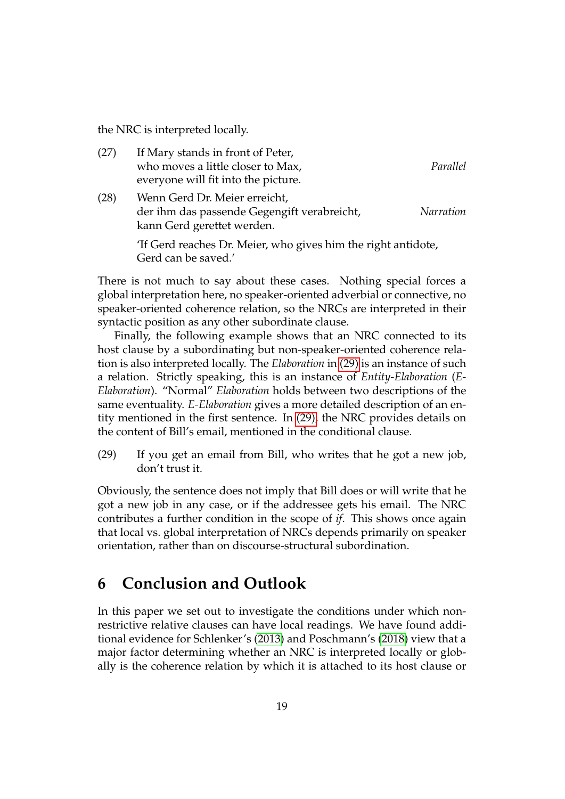the NRC is interpreted locally.

| (27) | If Mary stands in front of Peter,                                                                          |           |
|------|------------------------------------------------------------------------------------------------------------|-----------|
|      | who moves a little closer to Max,                                                                          | Parallel  |
|      | everyone will fit into the picture.                                                                        |           |
| (28) | Wenn Gerd Dr. Meier erreicht,<br>der ihm das passende Gegengift verabreicht,<br>kann Gerd gerettet werden. | Narration |
|      | 'If Gerd reaches Dr. Meier, who gives him the right antidote,<br>Gerd can be saved.'                       |           |

There is not much to say about these cases. Nothing special forces a global interpretation here, no speaker-oriented adverbial or connective, no speaker-oriented coherence relation, so the NRCs are interpreted in their syntactic position as any other subordinate clause.

Finally, the following example shows that an NRC connected to its host clause by a subordinating but non-speaker-oriented coherence relation is also interpreted locally. The *Elaboration* in [\(29\)](#page-18-0) is an instance of such a relation. Strictly speaking, this is an instance of *Entity-Elaboration* (*E-Elaboration*). "Normal" *Elaboration* holds between two descriptions of the same eventuality. *E-Elaboration* gives a more detailed description of an entity mentioned in the first sentence. In [\(29\),](#page-18-0) the NRC provides details on the content of Bill's email, mentioned in the conditional clause.

<span id="page-18-0"></span>(29) If you get an email from Bill, who writes that he got a new job, don't trust it.

Obviously, the sentence does not imply that Bill does or will write that he got a new job in any case, or if the addressee gets his email. The NRC contributes a further condition in the scope of *if*. This shows once again that local vs. global interpretation of NRCs depends primarily on speaker orientation, rather than on discourse-structural subordination.

## **6 Conclusion and Outlook**

In this paper we set out to investigate the conditions under which nonrestrictive relative clauses can have local readings. We have found additional evidence for Schlenker's [\(2013\)](#page-21-1) and Poschmann's [\(2018\)](#page-20-5) view that a major factor determining whether an NRC is interpreted locally or globally is the coherence relation by which it is attached to its host clause or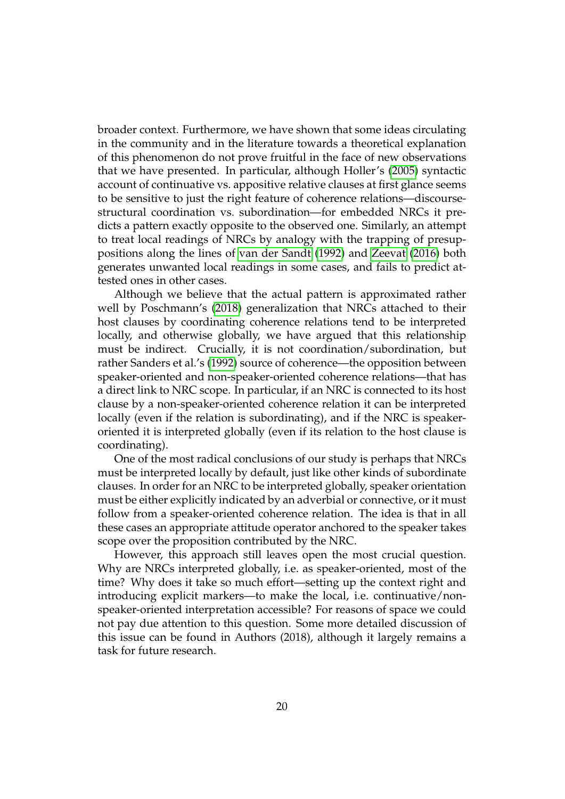broader context. Furthermore, we have shown that some ideas circulating in the community and in the literature towards a theoretical explanation of this phenomenon do not prove fruitful in the face of new observations that we have presented. In particular, although Holler's [\(2005\)](#page-20-6) syntactic account of continuative vs. appositive relative clauses at first glance seems to be sensitive to just the right feature of coherence relations—discoursestructural coordination vs. subordination—for embedded NRCs it predicts a pattern exactly opposite to the observed one. Similarly, an attempt to treat local readings of NRCs by analogy with the trapping of presuppositions along the lines of [van der Sandt](#page-21-2) [\(1992\)](#page-21-2) and [Zeevat](#page-21-4) [\(2016\)](#page-21-4) both generates unwanted local readings in some cases, and fails to predict attested ones in other cases.

Although we believe that the actual pattern is approximated rather well by Poschmann's [\(2018\)](#page-20-5) generalization that NRCs attached to their host clauses by coordinating coherence relations tend to be interpreted locally, and otherwise globally, we have argued that this relationship must be indirect. Crucially, it is not coordination/subordination, but rather Sanders et al.'s [\(1992\)](#page-20-15) source of coherence—the opposition between speaker-oriented and non-speaker-oriented coherence relations—that has a direct link to NRC scope. In particular, if an NRC is connected to its host clause by a non-speaker-oriented coherence relation it can be interpreted locally (even if the relation is subordinating), and if the NRC is speakeroriented it is interpreted globally (even if its relation to the host clause is coordinating).

One of the most radical conclusions of our study is perhaps that NRCs must be interpreted locally by default, just like other kinds of subordinate clauses. In order for an NRC to be interpreted globally, speaker orientation must be either explicitly indicated by an adverbial or connective, or it must follow from a speaker-oriented coherence relation. The idea is that in all these cases an appropriate attitude operator anchored to the speaker takes scope over the proposition contributed by the NRC.

However, this approach still leaves open the most crucial question. Why are NRCs interpreted globally, i.e. as speaker-oriented, most of the time? Why does it take so much effort—setting up the context right and introducing explicit markers—to make the local, i.e. continuative/nonspeaker-oriented interpretation accessible? For reasons of space we could not pay due attention to this question. Some more detailed discussion of this issue can be found in Authors (2018), although it largely remains a task for future research.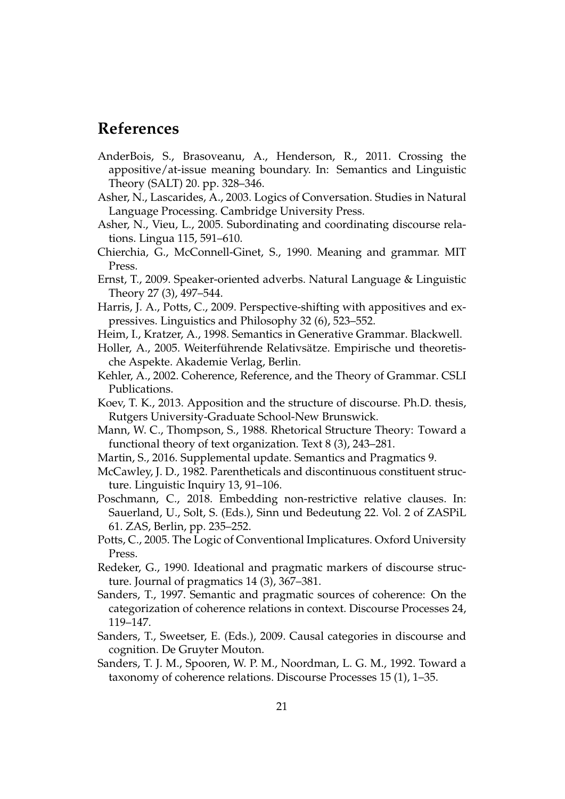## **References**

- <span id="page-20-4"></span>AnderBois, S., Brasoveanu, A., Henderson, R., 2011. Crossing the appositive/at-issue meaning boundary. In: Semantics and Linguistic Theory (SALT) 20. pp. 328–346.
- <span id="page-20-18"></span>Asher, N., Lascarides, A., 2003. Logics of Conversation. Studies in Natural Language Processing. Cambridge University Press.
- <span id="page-20-7"></span>Asher, N., Vieu, L., 2005. Subordinating and coordinating discourse relations. Lingua 115, 591–610.
- <span id="page-20-0"></span>Chierchia, G., McConnell-Ginet, S., 1990. Meaning and grammar. MIT Press.
- <span id="page-20-11"></span>Ernst, T., 2009. Speaker-oriented adverbs. Natural Language & Linguistic Theory 27 (3), 497–544.
- <span id="page-20-9"></span>Harris, J. A., Potts, C., 2009. Perspective-shifting with appositives and expressives. Linguistics and Philosophy 32 (6), 523–552.
- <span id="page-20-10"></span>Heim, I., Kratzer, A., 1998. Semantics in Generative Grammar. Blackwell.
- <span id="page-20-6"></span>Holler, A., 2005. Weiterführende Relativsätze. Empirische und theoretische Aspekte. Akademie Verlag, Berlin.
- <span id="page-20-12"></span>Kehler, A., 2002. Coherence, Reference, and the Theory of Grammar. CSLI Publications.
- <span id="page-20-2"></span>Koev, T. K., 2013. Apposition and the structure of discourse. Ph.D. thesis, Rutgers University-Graduate School-New Brunswick.
- <span id="page-20-17"></span>Mann, W. C., Thompson, S., 1988. Rhetorical Structure Theory: Toward a functional theory of text organization. Text 8 (3), 243–281.
- <span id="page-20-8"></span>Martin, S., 2016. Supplemental update. Semantics and Pragmatics 9.
- <span id="page-20-3"></span>McCawley, J. D., 1982. Parentheticals and discontinuous constituent structure. Linguistic Inquiry 13, 91–106.
- <span id="page-20-5"></span>Poschmann, C., 2018. Embedding non-restrictive relative clauses. In: Sauerland, U., Solt, S. (Eds.), Sinn und Bedeutung 22. Vol. 2 of ZASPiL 61. ZAS, Berlin, pp. 235–252.
- <span id="page-20-1"></span>Potts, C., 2005. The Logic of Conventional Implicatures. Oxford University Press.
- <span id="page-20-16"></span>Redeker, G., 1990. Ideational and pragmatic markers of discourse structure. Journal of pragmatics 14 (3), 367–381.
- <span id="page-20-14"></span>Sanders, T., 1997. Semantic and pragmatic sources of coherence: On the categorization of coherence relations in context. Discourse Processes 24, 119–147.
- <span id="page-20-13"></span>Sanders, T., Sweetser, E. (Eds.), 2009. Causal categories in discourse and cognition. De Gruyter Mouton.
- <span id="page-20-15"></span>Sanders, T. J. M., Spooren, W. P. M., Noordman, L. G. M., 1992. Toward a taxonomy of coherence relations. Discourse Processes 15 (1), 1–35.